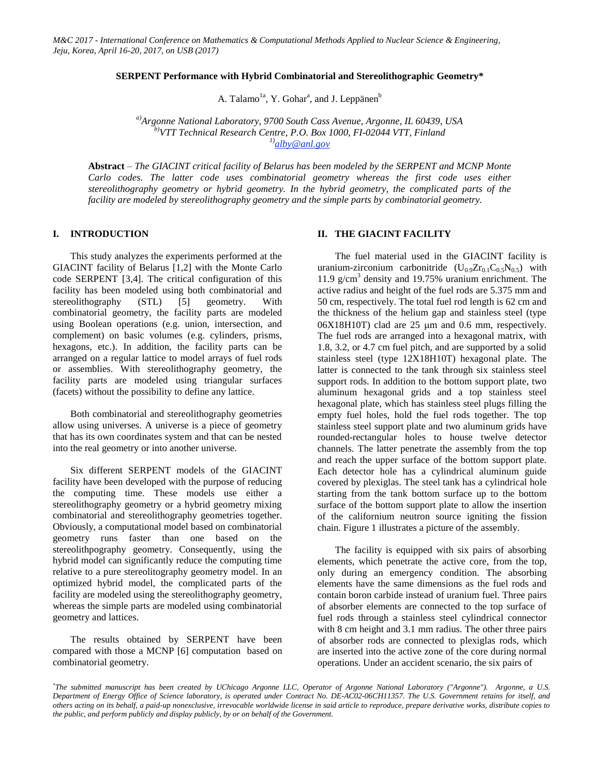### **SERPENT Performance with Hybrid Combinatorial and Stereolithographic Geometry\***

A. Talamo<sup>1a</sup>, Y. Gohar<sup>a</sup>, and J. Leppänen<sup>b</sup>

*a)Argonne National Laboratory, 9700 South Cass Avenue, Argonne, IL 60439, USA b)VTT Technical Research Centre, P.O. Box 1000, FI-02044 VTT, Finland 1)[alby@anl.gov](mailto:alby@anl.gov)*

**Abstract** *– The GIACINT critical facility of Belarus has been modeled by the SERPENT and MCNP Monte*  Carlo codes. The latter code uses combinatorial geometry whereas the first code uses either *stereolithography geometry or hybrid geometry. In the hybrid geometry, the complicated parts of the facility are modeled by stereolithography geometry and the simple parts by combinatorial geometry.*

## **I. INTRODUCTION**

This study analyzes the experiments performed at the GIACINT facility of Belarus [1,2] with the Monte Carlo code SERPENT [3,4]. The critical configuration of this facility has been modeled using both combinatorial and<br>stereolithography (STL) [5] geometry. With stereolithography (STL) [5] geometry. With combinatorial geometry, the facility parts are modeled using Boolean operations (e.g. union, intersection, and complement) on basic volumes (e.g. cylinders, prisms, hexagons, etc.). In addition, the facility parts can be arranged on a regular lattice to model arrays of fuel rods or assemblies. With stereolithography geometry, the facility parts are modeled using triangular surfaces (facets) without the possibility to define any lattice.

Both combinatorial and stereolithography geometries allow using universes. A universe is a piece of geometry that has its own coordinates system and that can be nested into the real geometry or into another universe.

Six different SERPENT models of the GIACINT facility have been developed with the purpose of reducing the computing time. These models use either a stereolithography geometry or a hybrid geometry mixing combinatorial and stereolithography geometries together. Obviously, a computational model based on combinatorial geometry runs faster than one based on the stereolithpography geometry. Consequently, using the hybrid model can significantly reduce the computing time relative to a pure stereolitography geometry model. In an optimized hybrid model, the complicated parts of the facility are modeled using the stereolithography geometry, whereas the simple parts are modeled using combinatorial geometry and lattices.

The results obtained by SERPENT have been compared with those a MCNP [6] computation based on combinatorial geometry.

# **II. THE GIACINT FACILITY**

The fuel material used in the GIACINT facility is uranium-zirconium carbonitride  $(U_{0.9}Zr_{0.1}C_{0.5}N_{0.5})$  with 11.9 g/cm<sup>3</sup> density and 19.75% uranium enrichment. The active radius and height of the fuel rods are 5.375 mm and 50 cm, respectively. The total fuel rod length is 62 cm and the thickness of the helium gap and stainless steel (type  $06X18H10T$ ) clad are 25  $\mu$ m and 0.6 mm, respectively. The fuel rods are arranged into a hexagonal matrix, with 1.8, 3.2, or 4.7 cm fuel pitch, and are supported by a solid stainless steel (type 12X18H10T) hexagonal plate. The latter is connected to the tank through six stainless steel support rods. In addition to the bottom support plate, two aluminum hexagonal grids and a top stainless steel hexagonal plate, which has stainless steel plugs filling the empty fuel holes, hold the fuel rods together. The top stainless steel support plate and two aluminum grids have rounded-rectangular holes to house twelve detector channels. The latter penetrate the assembly from the top and reach the upper surface of the bottom support plate. Each detector hole has a cylindrical aluminum guide covered by plexiglas. The steel tank has a cylindrical hole starting from the tank bottom surface up to the bottom surface of the bottom support plate to allow the insertion of the californium neutron source igniting the fission chain. Figure 1 illustrates a picture of the assembly.

The facility is equipped with six pairs of absorbing elements, which penetrate the active core, from the top, only during an emergency condition. The absorbing elements have the same dimensions as the fuel rods and contain boron carbide instead of uranium fuel. Three pairs of absorber elements are connected to the top surface of fuel rods through a stainless steel cylindrical connector with 8 cm height and 3.1 mm radius. The other three pairs of absorber rods are connected to plexiglas rods, which are inserted into the active zone of the core during normal operations. Under an accident scenario, the six pairs of

*\* The submitted manuscript has been created by UChicago Argonne LLC, Operator of Argonne National Laboratory ("Argonne"). Argonne, a U.S. Department of Energy Office of Science laboratory, is operated under Contract No. DE-AC02-06CH11357. The U.S. Government retains for itself, and others acting on its behalf, a paid-up nonexclusive, irrevocable worldwide license in said article to reproduce, prepare derivative works, distribute copies to the public, and perform publicly and display publicly, by or on behalf of the Government.*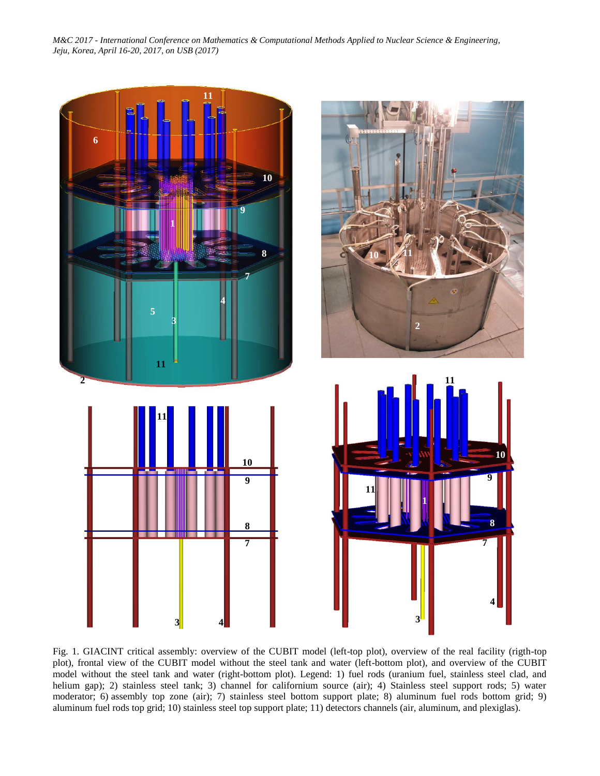

Fig. 1. GIACINT critical assembly: overview of the CUBIT model (left-top plot), overview of the real facility (rigth-top plot), frontal view of the CUBIT model without the steel tank and water (left-bottom plot), and overview of the CUBIT model without the steel tank and water (right-bottom plot). Legend: 1) fuel rods (uranium fuel, stainless steel clad, and helium gap); 2) stainless steel tank; 3) channel for californium source (air); 4) Stainless steel support rods; 5) water moderator; 6) assembly top zone (air); 7) stainless steel bottom support plate; 8) aluminum fuel rods bottom grid; 9) aluminum fuel rods top grid; 10) stainless steel top support plate; 11) detectors channels (air, aluminum, and plexiglas).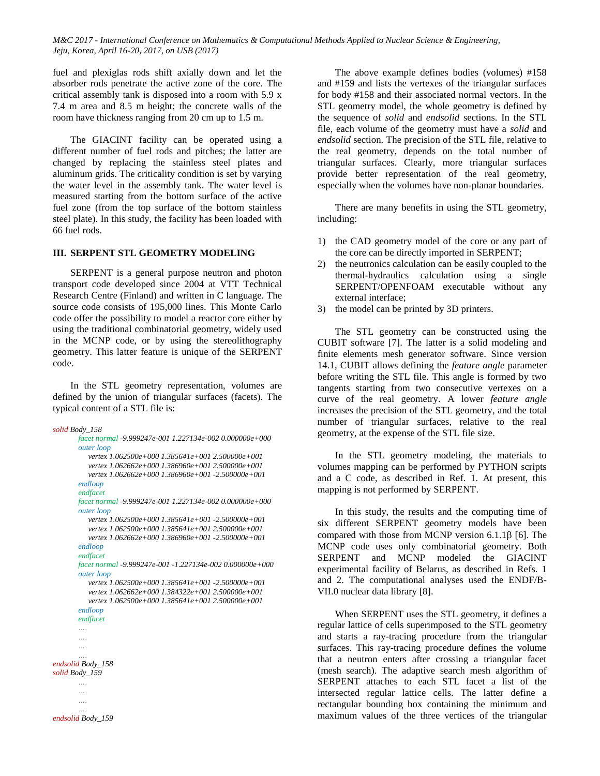fuel and plexiglas rods shift axially down and let the absorber rods penetrate the active zone of the core. The critical assembly tank is disposed into a room with 5.9 x 7.4 m area and 8.5 m height; the concrete walls of the room have thickness ranging from 20 cm up to 1.5 m.

The GIACINT facility can be operated using a different number of fuel rods and pitches; the latter are changed by replacing the stainless steel plates and aluminum grids. The criticality condition is set by varying the water level in the assembly tank. The water level is measured starting from the bottom surface of the active fuel zone (from the top surface of the bottom stainless steel plate). In this study, the facility has been loaded with 66 fuel rods.

### **III. SERPENT STL GEOMETRY MODELING**

SERPENT is a general purpose neutron and photon transport code developed since 2004 at VTT Technical Research Centre (Finland) and written in C language. The source code consists of 195,000 lines. This Monte Carlo code offer the possibility to model a reactor core either by using the traditional combinatorial geometry, widely used in the MCNP code, or by using the stereolithography geometry. This latter feature is unique of the SERPENT code.

In the STL geometry representation, volumes are defined by the union of triangular surfaces (facets). The typical content of a STL file is:

```
solid Body_158
        facet normal -9.999247e-001 1.227134e-002 0.000000e+000
        outer loop
           vertex 1.062500e+000 1.385641e+001 2.500000e+001
           vertex 1.062662e+000 1.386960e+001 2.500000e+001
           vertex 1.062662e+000 1.386960e+001 -2.500000e+001
        endloop
        endfacet
        facet normal -9.999247e-001 1.227134e-002 0.000000e+000
        outer loop
           vertex 1.062500e+000 1.385641e+001 -2.500000e+001
           vertex 1.062500e+000 1.385641e+001 2.500000e+001
           vertex 1.062662e+000 1.386960e+001 -2.500000e+001
        endloop
        endfacet
        facet normal -9.999247e-001 -1.227134e-002 0.000000e+000
        outer loop
           vertex 1.062500e+000 1.385641e+001 -2.500000e+001
           vertex 1.062662e+000 1.384322e+001 2.500000e+001
           vertex 1.062500e+000 1.385641e+001 2.500000e+001
        endloop
        endfacet
        ….
        ….
        ….
      ….
endsolid Body_158
solid Body_159
        ….
        ….
        ….
        ….
endsolid Body_159
```
The above example defines bodies (volumes) #158 and #159 and lists the vertexes of the triangular surfaces for body #158 and their associated normal vectors. In the STL geometry model, the whole geometry is defined by the sequence of *solid* and *endsolid* sections. In the STL file, each volume of the geometry must have a *solid* and *endsolid* section. The precision of the STL file, relative to the real geometry, depends on the total number of triangular surfaces. Clearly, more triangular surfaces provide better representation of the real geometry, especially when the volumes have non-planar boundaries.

There are many benefits in using the STL geometry, including:

- 1) the CAD geometry model of the core or any part of the core can be directly imported in SERPENT;
- 2) the neutronics calculation can be easily coupled to the thermal-hydraulics calculation using a single SERPENT/OPENFOAM executable without any external interface;
- 3) the model can be printed by 3D printers.

The STL geometry can be constructed using the CUBIT software [7]. The latter is a solid modeling and finite elements mesh generator software. Since version 14.1, CUBIT allows defining the *feature angle* parameter before writing the STL file. This angle is formed by two tangents starting from two consecutive vertexes on a curve of the real geometry. A lower *feature angle* increases the precision of the STL geometry, and the total number of triangular surfaces, relative to the real geometry, at the expense of the STL file size.

In the STL geometry modeling, the materials to volumes mapping can be performed by PYTHON scripts and a C code, as described in Ref. 1. At present, this mapping is not performed by SERPENT.

In this study, the results and the computing time of six different SERPENT geometry models have been compared with those from MCNP version  $6.1.1\beta$  [6]. The MCNP code uses only combinatorial geometry. Both SERPENT and MCNP modeled the GIACINT experimental facility of Belarus, as described in Refs. 1 and 2. The computational analyses used the ENDF/B-VII.0 nuclear data library [8].

When SERPENT uses the STL geometry, it defines a regular lattice of cells superimposed to the STL geometry and starts a ray-tracing procedure from the triangular surfaces. This ray-tracing procedure defines the volume that a neutron enters after crossing a triangular facet (mesh search). The adaptive search mesh algorithm of SERPENT attaches to each STL facet a list of the intersected regular lattice cells. The latter define a rectangular bounding box containing the minimum and maximum values of the three vertices of the triangular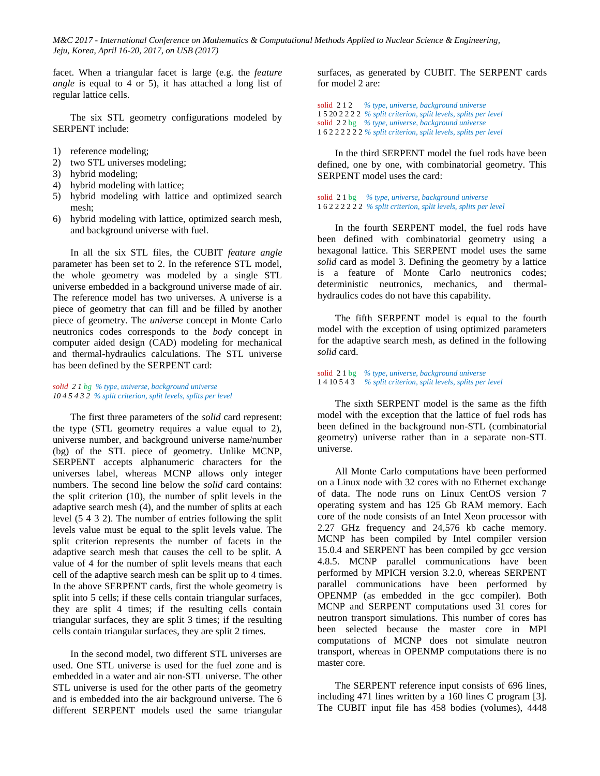facet. When a triangular facet is large (e.g. the *feature angle* is equal to 4 or 5), it has attached a long list of regular lattice cells.

The six STL geometry configurations modeled by SERPENT include:

- 1) reference modeling;
- 2) two STL universes modeling;
- 3) hybrid modeling;
- 4) hybrid modeling with lattice;
- 5) hybrid modeling with lattice and optimized search mesh;
- 6) hybrid modeling with lattice, optimized search mesh, and background universe with fuel.

In all the six STL files, the CUBIT *feature angle* parameter has been set to 2. In the reference STL model, the whole geometry was modeled by a single STL universe embedded in a background universe made of air. The reference model has two universes. A universe is a piece of geometry that can fill and be filled by another piece of geometry. The *universe* concept in Monte Carlo neutronics codes corresponds to the *body* concept in computer aided design (CAD) modeling for mechanical and thermal-hydraulics calculations. The STL universe has been defined by the SERPENT card:

#### *solid 2 1 bg % type, universe, background universe 10 4 5 4 3 2 % split criterion, split levels, splits per level*

The first three parameters of the *solid* card represent: the type (STL geometry requires a value equal to 2), universe number, and background universe name/number (bg) of the STL piece of geometry. Unlike MCNP, SERPENT accepts alphanumeric characters for the universes label, whereas MCNP allows only integer numbers. The second line below the *solid* card contains: the split criterion (10), the number of split levels in the adaptive search mesh (4), and the number of splits at each level (5 4 3 2). The number of entries following the split levels value must be equal to the split levels value. The split criterion represents the number of facets in the adaptive search mesh that causes the cell to be split. A value of 4 for the number of split levels means that each cell of the adaptive search mesh can be split up to 4 times. In the above SERPENT cards, first the whole geometry is split into 5 cells; if these cells contain triangular surfaces, they are split 4 times; if the resulting cells contain triangular surfaces, they are split 3 times; if the resulting cells contain triangular surfaces, they are split 2 times.

In the second model, two different STL universes are used. One STL universe is used for the fuel zone and is embedded in a water and air non-STL universe. The other STL universe is used for the other parts of the geometry and is embedded into the air background universe. The 6 different SERPENT models used the same triangular surfaces, as generated by CUBIT. The SERPENT cards for model 2 are:

solid 2 1 2 *% type, universe, background universe* 1 5 20 2 2 2 2 *% split criterion, split levels, splits per level* solid 2 2 bg *% type, universe, background universe* 1 6 2 2 2 2 2 2 *% split criterion, split levels, splits per level*

In the third SERPENT model the fuel rods have been defined, one by one, with combinatorial geometry. This SERPENT model uses the card:

solid 2 1 bg *% type, universe, background universe* 1 6 2 2 2 2 2 2 *% split criterion, split levels, splits per level*

In the fourth SERPENT model, the fuel rods have been defined with combinatorial geometry using a hexagonal lattice. This SERPENT model uses the same *solid* card as model 3. Defining the geometry by a lattice is a feature of Monte Carlo neutronics codes; deterministic neutronics, mechanics, and thermalhydraulics codes do not have this capability.

The fifth SERPENT model is equal to the fourth model with the exception of using optimized parameters for the adaptive search mesh, as defined in the following *solid* card.

#### solid 2 1 bg *% type, universe, background universe* 1 4 10 5 4 3 *% split criterion, split levels, splits per level*

The sixth SERPENT model is the same as the fifth model with the exception that the lattice of fuel rods has been defined in the background non-STL (combinatorial geometry) universe rather than in a separate non-STL universe.

All Monte Carlo computations have been performed on a Linux node with 32 cores with no Ethernet exchange of data. The node runs on Linux CentOS version 7 operating system and has 125 Gb RAM memory. Each core of the node consists of an Intel Xeon processor with 2.27 GHz frequency and 24,576 kb cache memory. MCNP has been compiled by Intel compiler version 15.0.4 and SERPENT has been compiled by gcc version 4.8.5. MCNP parallel communications have been performed by MPICH version 3.2.0, whereas SERPENT parallel communications have been performed by OPENMP (as embedded in the gcc compiler). Both MCNP and SERPENT computations used 31 cores for neutron transport simulations. This number of cores has been selected because the master core in MPI computations of MCNP does not simulate neutron transport, whereas in OPENMP computations there is no master core.

The SERPENT reference input consists of 696 lines, including 471 lines written by a 160 lines C program [3]. The CUBIT input file has 458 bodies (volumes), 4448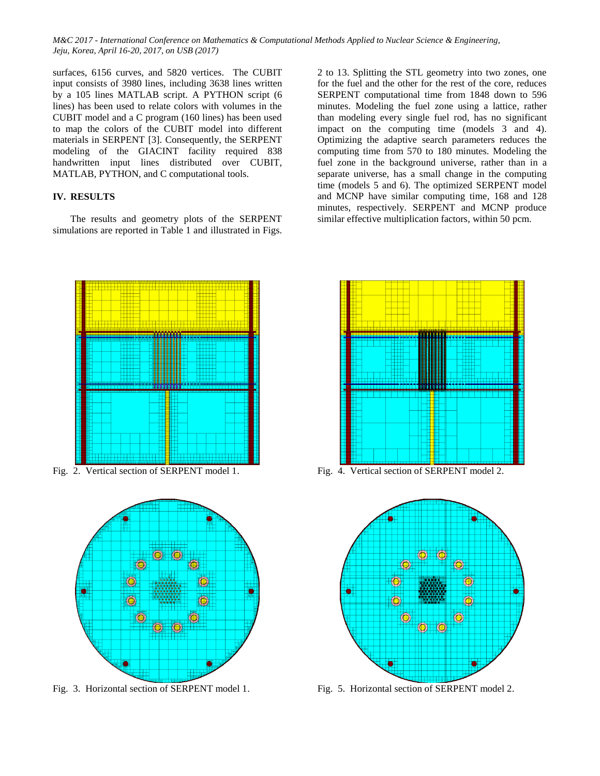surfaces, 6156 curves, and 5820 vertices. The CUBIT input consists of 3980 lines, including 3638 lines written by a 105 lines MATLAB script. A PYTHON script (6 lines) has been used to relate colors with volumes in the CUBIT model and a C program (160 lines) has been used to map the colors of the CUBIT model into different materials in SERPENT [3]. Consequently, the SERPENT modeling of the GIACINT facility required 838 handwritten input lines distributed over CUBIT, MATLAB, PYTHON, and C computational tools.

### **IV. RESULTS**

The results and geometry plots of the SERPENT simulations are reported in Table 1 and illustrated in Figs. 2 to 13. Splitting the STL geometry into two zones, one for the fuel and the other for the rest of the core, reduces SERPENT computational time from 1848 down to 596 minutes. Modeling the fuel zone using a lattice, rather than modeling every single fuel rod, has no significant impact on the computing time (models 3 and 4). Optimizing the adaptive search parameters reduces the computing time from 570 to 180 minutes. Modeling the fuel zone in the background universe, rather than in a separate universe, has a small change in the computing time (models 5 and 6). The optimized SERPENT model and MCNP have similar computing time, 168 and 128 minutes, respectively. SERPENT and MCNP produce similar effective multiplication factors, within 50 pcm.



Fig. 2. Vertical section of SERPENT model 1.



Fig. 3. Horizontal section of SERPENT model 1.



Fig. 4. Vertical section of SERPENT model 2.



Fig. 5. Horizontal section of SERPENT model 2.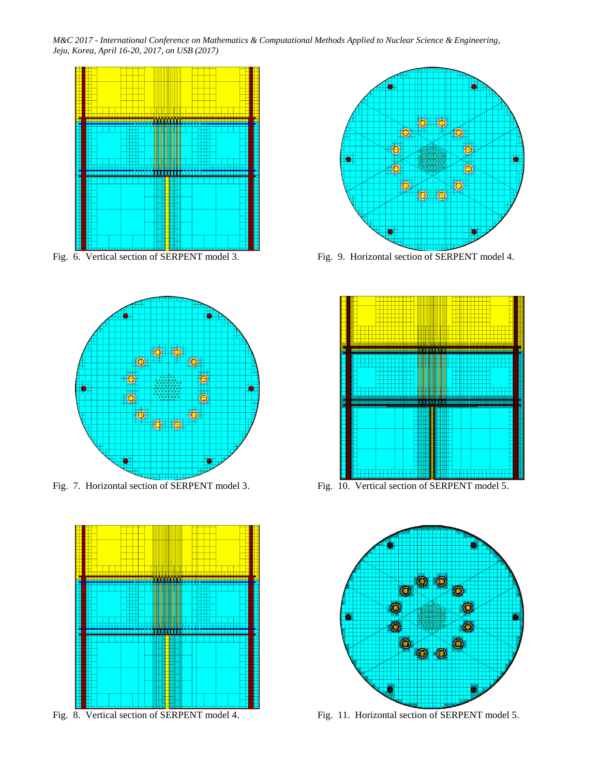*M&C 2017 - International Conference on Mathematics & Computational Methods Applied to Nuclear Science & Engineering, Jeju, Korea, April 16-20, 2017, on USB (2017)*





Fig. 7. Horizontal section of SERPENT model 3.



Fig. 8. Vertical section of SERPENT model 4.



Fig. 9. Horizontal section of SERPENT model 4.



Fig. 10. Vertical section of SERPENT model 5.



Fig. 11. Horizontal section of SERPENT model 5.